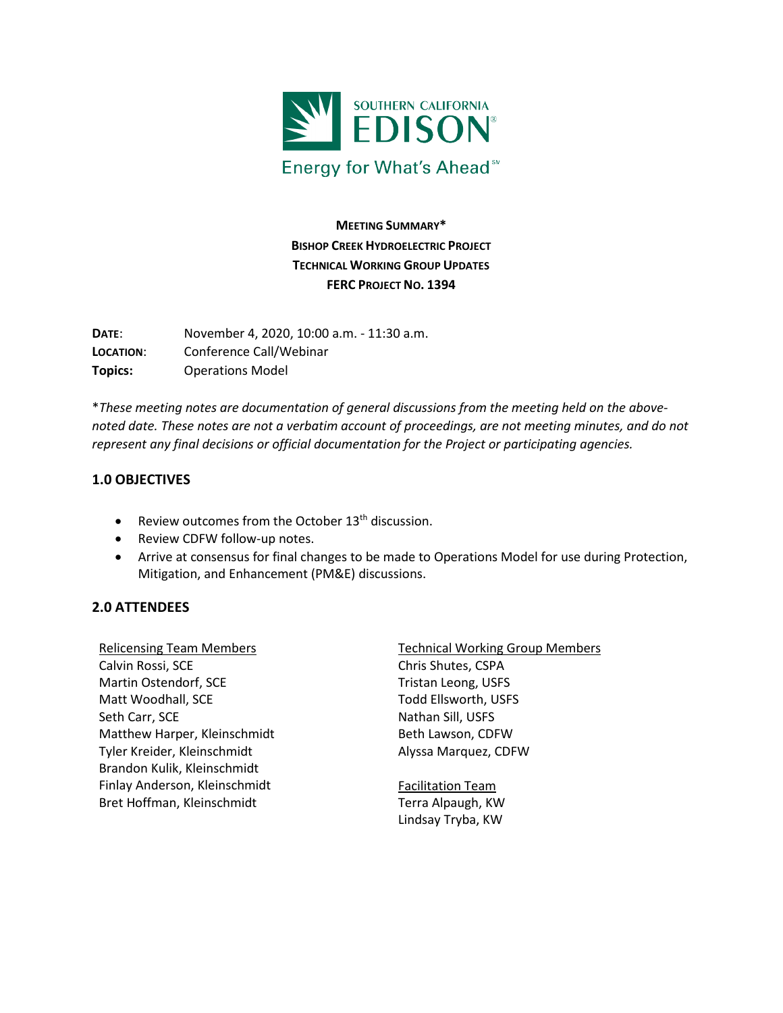

**MEETING SUMMARY\* BISHOP CREEK HYDROELECTRIC PROJECT TECHNICAL WORKING GROUP UPDATES FERC PROJECT NO. 1394**

**DATE**: November 4, 2020, 10:00 a.m. - 11:30 a.m. **LOCATION**: Conference Call/Webinar **Topics:** Operations Model

\**These meeting notes are documentation of general discussions from the meeting held on the abovenoted date. These notes are not a verbatim account of proceedings, are not meeting minutes, and do not represent any final decisions or official documentation for the Project or participating agencies.*

### **1.0 OBJECTIVES**

- Review outcomes from the October  $13<sup>th</sup>$  discussion.
- Review CDFW follow-up notes.
- Arrive at consensus for final changes to be made to Operations Model for use during Protection, Mitigation, and Enhancement (PM&E) discussions.

### **2.0 ATTENDEES**

Relicensing Team Members Calvin Rossi, SCE Martin Ostendorf, SCE Matt Woodhall, SCE Seth Carr, SCE Matthew Harper, Kleinschmidt Tyler Kreider, Kleinschmidt Brandon Kulik, Kleinschmidt Finlay Anderson, Kleinschmidt Bret Hoffman, Kleinschmidt

Technical Working Group Members Chris Shutes, CSPA Tristan Leong, USFS Todd Ellsworth, USFS Nathan Sill, USFS Beth Lawson, CDFW Alyssa Marquez, CDFW

Facilitation Team Terra Alpaugh, KW Lindsay Tryba, KW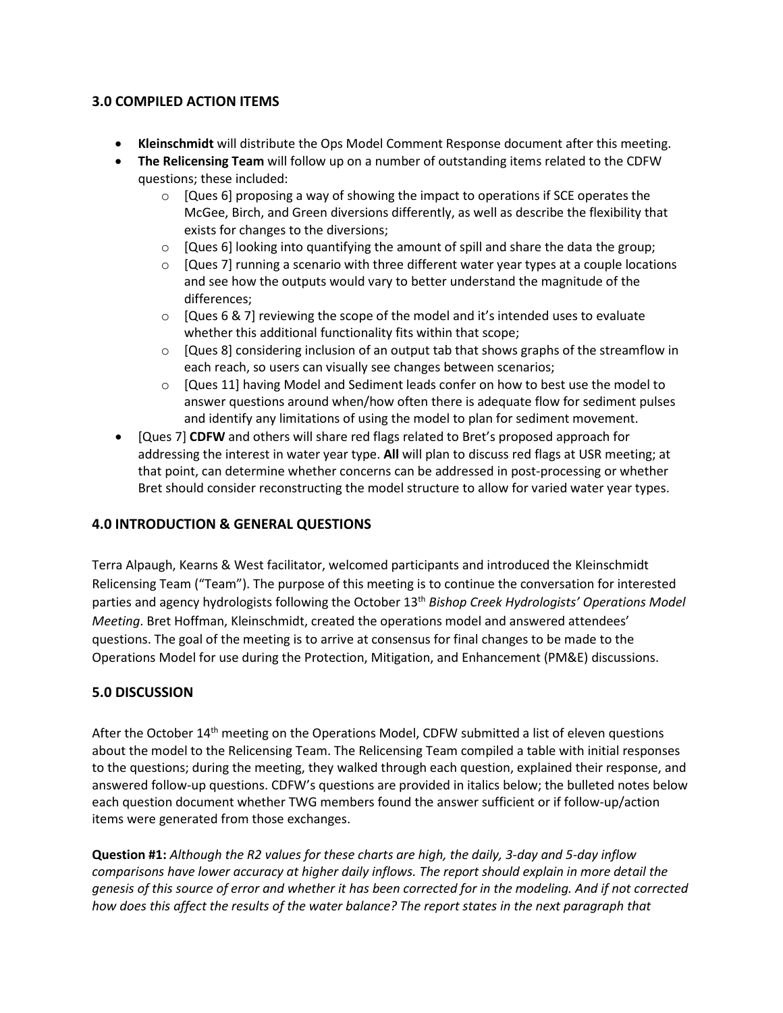### **3.0 COMPILED ACTION ITEMS**

- **Kleinschmidt** will distribute the Ops Model Comment Response document after this meeting.
- **The Relicensing Team** will follow up on a number of outstanding items related to the CDFW questions; these included:
	- $\circ$  [Ques 6] proposing a way of showing the impact to operations if SCE operates the McGee, Birch, and Green diversions differently, as well as describe the flexibility that exists for changes to the diversions;
	- $\circ$  [Ques 6] looking into quantifying the amount of spill and share the data the group;
	- $\circ$  [Ques 7] running a scenario with three different water year types at a couple locations and see how the outputs would vary to better understand the magnitude of the differences;
	- $\circ$  [Ques 6 & 7] reviewing the scope of the model and it's intended uses to evaluate whether this additional functionality fits within that scope;
	- $\circ$  [Ques 8] considering inclusion of an output tab that shows graphs of the streamflow in each reach, so users can visually see changes between scenarios;
	- $\circ$  [Ques 11] having Model and Sediment leads confer on how to best use the model to answer questions around when/how often there is adequate flow for sediment pulses and identify any limitations of using the model to plan for sediment movement.
- [Ques 7] **CDFW** and others will share red flags related to Bret's proposed approach for addressing the interest in water year type. **All** will plan to discuss red flags at USR meeting; at that point, can determine whether concerns can be addressed in post-processing or whether Bret should consider reconstructing the model structure to allow for varied water year types.

### **4.0 INTRODUCTION & GENERAL QUESTIONS**

Terra Alpaugh, Kearns & West facilitator, welcomed participants and introduced the Kleinschmidt Relicensing Team ("Team"). The purpose of this meeting is to continue the conversation for interested parties and agency hydrologists following the October 13th *Bishop Creek Hydrologists' Operations Model Meeting*. Bret Hoffman, Kleinschmidt, created the operations model and answered attendees' questions. The goal of the meeting is to arrive at consensus for final changes to be made to the Operations Model for use during the Protection, Mitigation, and Enhancement (PM&E) discussions.

### **5.0 DISCUSSION**

After the October 14<sup>th</sup> meeting on the Operations Model, CDFW submitted a list of eleven questions about the model to the Relicensing Team. The Relicensing Team compiled a table with initial responses to the questions; during the meeting, they walked through each question, explained their response, and answered follow-up questions. CDFW's questions are provided in italics below; the bulleted notes below each question document whether TWG members found the answer sufficient or if follow-up/action items were generated from those exchanges.

**Question #1:** *Although the R2 values for these charts are high, the daily, 3-day and 5-day inflow comparisons have lower accuracy at higher daily inflows. The report should explain in more detail the genesis of this source of error and whether it has been corrected for in the modeling. And if not corrected how does this affect the results of the water balance? The report states in the next paragraph that*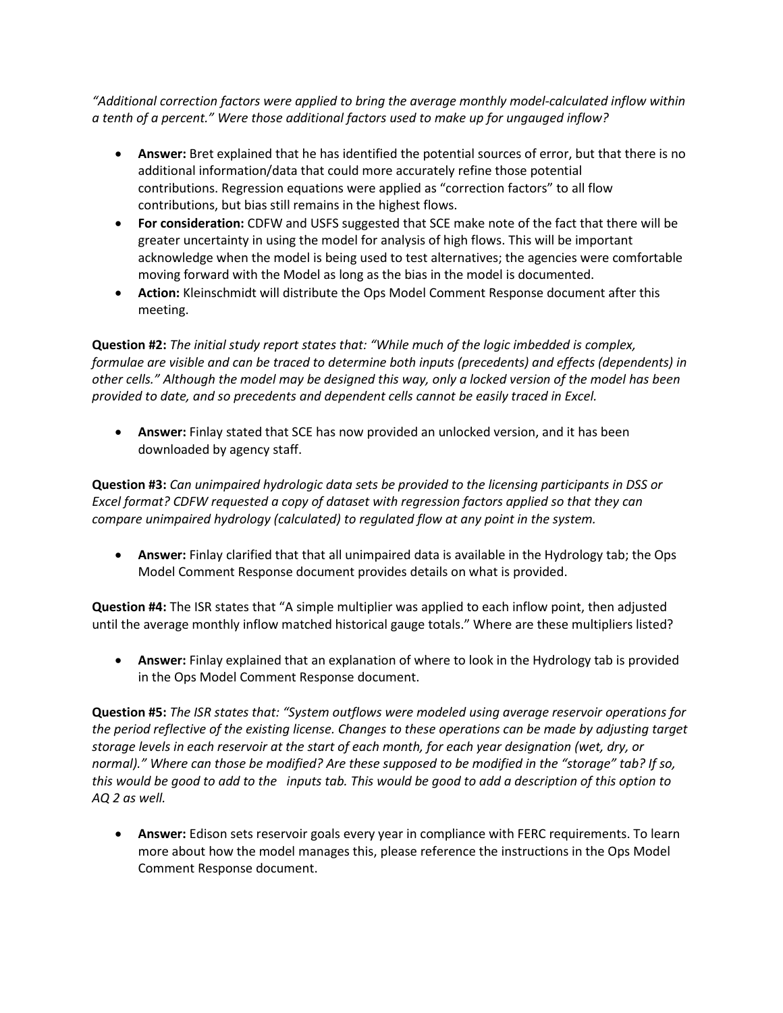*"Additional correction factors were applied to bring the average monthly model-calculated inflow within a tenth of a percent." Were those additional factors used to make up for ungauged inflow?*

- **Answer:** Bret explained that he has identified the potential sources of error, but that there is no additional information/data that could more accurately refine those potential contributions. Regression equations were applied as "correction factors" to all flow contributions, but bias still remains in the highest flows.
- **For consideration:** CDFW and USFS suggested that SCE make note of the fact that there will be greater uncertainty in using the model for analysis of high flows. This will be important acknowledge when the model is being used to test alternatives; the agencies were comfortable moving forward with the Model as long as the bias in the model is documented.
- **Action:** Kleinschmidt will distribute the Ops Model Comment Response document after this meeting.

**Question #2:** *The initial study report states that: "While much of the logic imbedded is complex, formulae are visible and can be traced to determine both inputs (precedents) and effects (dependents) in other cells." Although the model may be designed this way, only a locked version of the model has been provided to date, and so precedents and dependent cells cannot be easily traced in Excel.*

• **Answer:** Finlay stated that SCE has now provided an unlocked version, and it has been downloaded by agency staff.

**Question #3:** *Can unimpaired hydrologic data sets be provided to the licensing participants in DSS or Excel format? CDFW requested a copy of dataset with regression factors applied so that they can compare unimpaired hydrology (calculated) to regulated flow at any point in the system.*

• **Answer:** Finlay clarified that that all unimpaired data is available in the Hydrology tab; the Ops Model Comment Response document provides details on what is provided.

**Question #4:** The ISR states that "A simple multiplier was applied to each inflow point, then adjusted until the average monthly inflow matched historical gauge totals." Where are these multipliers listed?

• **Answer:** Finlay explained that an explanation of where to look in the Hydrology tab is provided in the Ops Model Comment Response document.

**Question #5:** *The ISR states that: "System outflows were modeled using average reservoir operations for the period reflective of the existing license. Changes to these operations can be made by adjusting target storage levels in each reservoir at the start of each month, for each year designation (wet, dry, or normal)." Where can those be modified? Are these supposed to be modified in the "storage" tab? If so, this would be good to add to the inputs tab. This would be good to add a description of this option to AQ 2 as well.*

• **Answer:** Edison sets reservoir goals every year in compliance with FERC requirements. To learn more about how the model manages this, please reference the instructions in the Ops Model Comment Response document.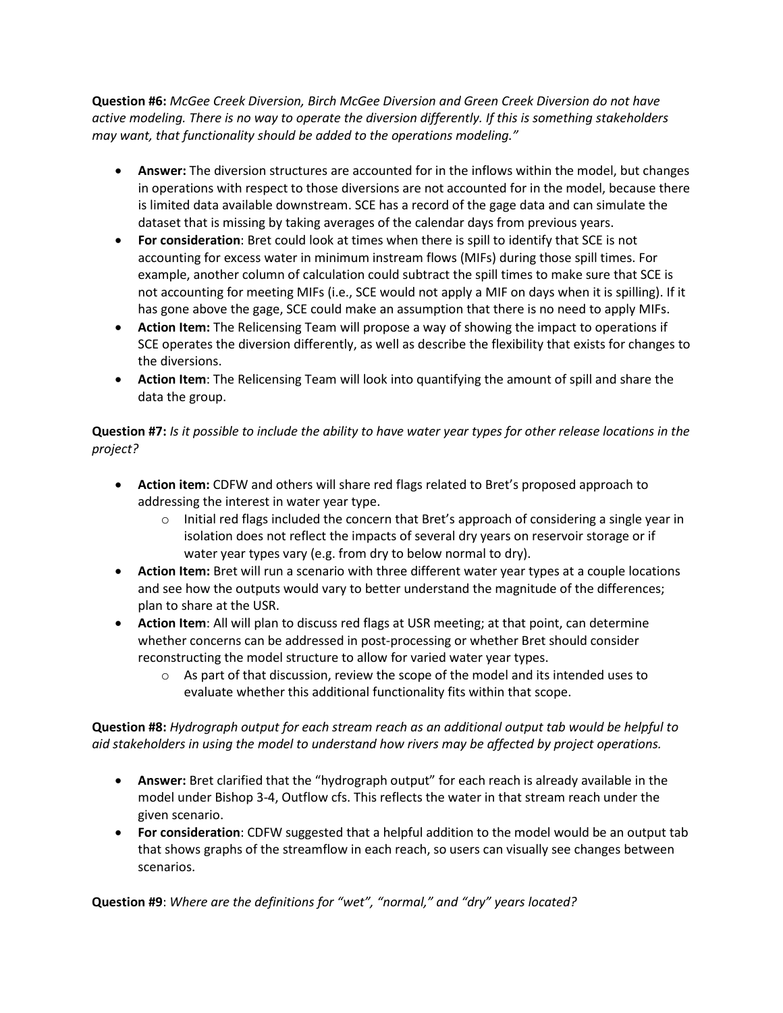**Question #6:** *McGee Creek Diversion, Birch McGee Diversion and Green Creek Diversion do not have active modeling. There is no way to operate the diversion differently. If this is something stakeholders may want, that functionality should be added to the operations modeling."*

- **Answer:** The diversion structures are accounted for in the inflows within the model, but changes in operations with respect to those diversions are not accounted for in the model, because there is limited data available downstream. SCE has a record of the gage data and can simulate the dataset that is missing by taking averages of the calendar days from previous years.
- **For consideration**: Bret could look at times when there is spill to identify that SCE is not accounting for excess water in minimum instream flows (MIFs) during those spill times. For example, another column of calculation could subtract the spill times to make sure that SCE is not accounting for meeting MIFs (i.e., SCE would not apply a MIF on days when it is spilling). If it has gone above the gage, SCE could make an assumption that there is no need to apply MIFs.
- **Action Item:** The Relicensing Team will propose a way of showing the impact to operations if SCE operates the diversion differently, as well as describe the flexibility that exists for changes to the diversions.
- **Action Item**: The Relicensing Team will look into quantifying the amount of spill and share the data the group.

# **Question #7:** *Is it possible to include the ability to have water year types for other release locations in the project?*

- **Action item:** CDFW and others will share red flags related to Bret's proposed approach to addressing the interest in water year type.
	- $\circ$  Initial red flags included the concern that Bret's approach of considering a single year in isolation does not reflect the impacts of several dry years on reservoir storage or if water year types vary (e.g. from dry to below normal to dry).
- **Action Item:** Bret will run a scenario with three different water year types at a couple locations and see how the outputs would vary to better understand the magnitude of the differences; plan to share at the USR.
- **Action Item**: All will plan to discuss red flags at USR meeting; at that point, can determine whether concerns can be addressed in post-processing or whether Bret should consider reconstructing the model structure to allow for varied water year types.
	- $\circ$  As part of that discussion, review the scope of the model and its intended uses to evaluate whether this additional functionality fits within that scope.

### **Question #8:** *Hydrograph output for each stream reach as an additional output tab would be helpful to aid stakeholders in using the model to understand how rivers may be affected by project operations.*

- **Answer:** Bret clarified that the "hydrograph output" for each reach is already available in the model under Bishop 3-4, Outflow cfs. This reflects the water in that stream reach under the given scenario.
- **For consideration**: CDFW suggested that a helpful addition to the model would be an output tab that shows graphs of the streamflow in each reach, so users can visually see changes between scenarios.

**Question #9**: *Where are the definitions for "wet", "normal," and "dry" years located?*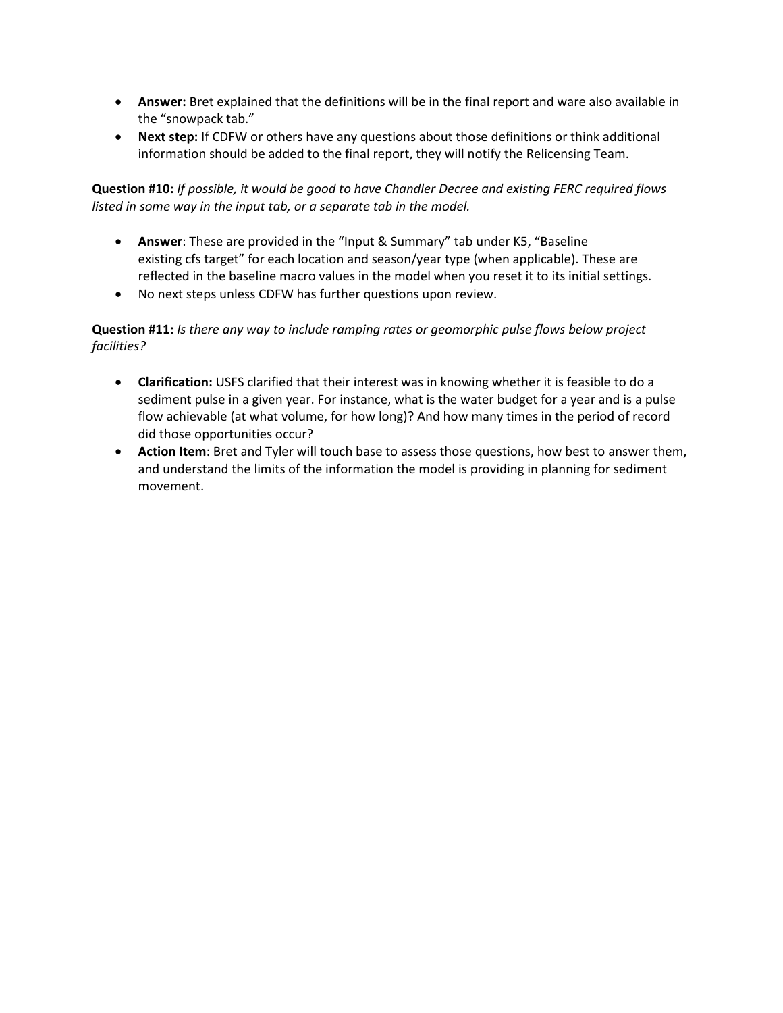- **Answer:** Bret explained that the definitions will be in the final report and ware also available in the "snowpack tab."
- **Next step:** If CDFW or others have any questions about those definitions or think additional information should be added to the final report, they will notify the Relicensing Team.

**Question #10:** *If possible, it would be good to have Chandler Decree and existing FERC required flows listed in some way in the input tab, or a separate tab in the model.*

- **Answer**: These are provided in the "Input & Summary" tab under K5, "Baseline existing cfs target" for each location and season/year type (when applicable). These are reflected in the baseline macro values in the model when you reset it to its initial settings.
- No next steps unless CDFW has further questions upon review.

## **Question #11:** *Is there any way to include ramping rates or geomorphic pulse flows below project facilities?*

- **Clarification:** USFS clarified that their interest was in knowing whether it is feasible to do a sediment pulse in a given year. For instance, what is the water budget for a year and is a pulse flow achievable (at what volume, for how long)? And how many times in the period of record did those opportunities occur?
- **Action Item**: Bret and Tyler will touch base to assess those questions, how best to answer them, and understand the limits of the information the model is providing in planning for sediment movement.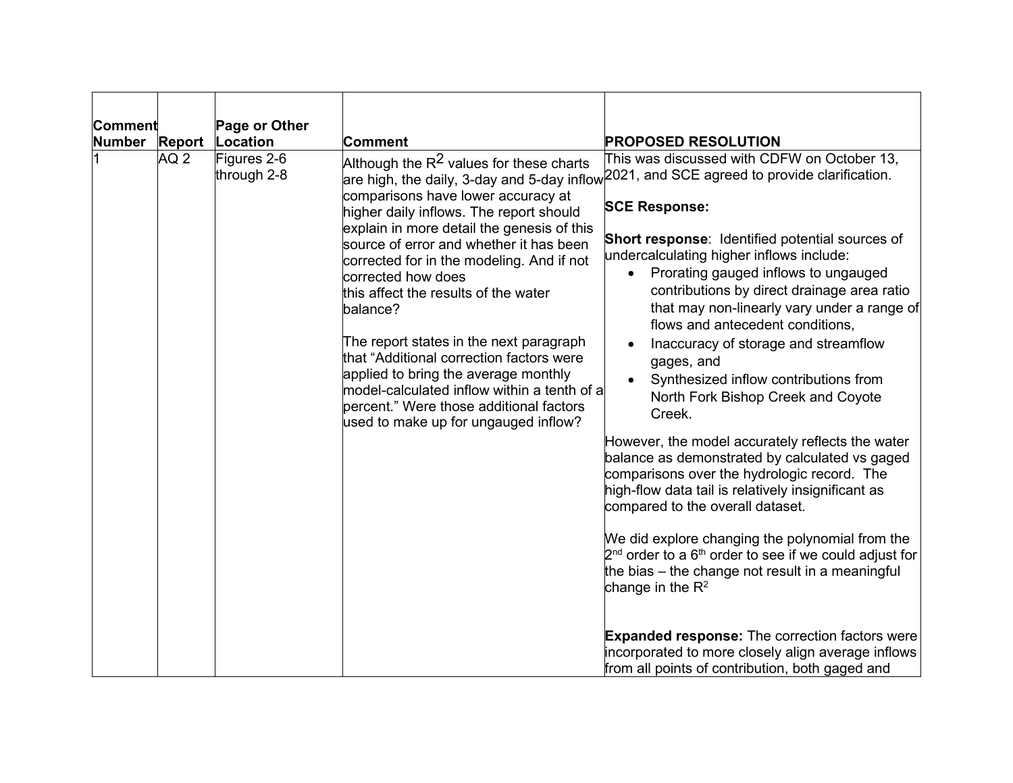| Comment       |                 | Page or Other              |                                                                                                                                                                                                                                                                                                                                                                                                                                                                                                                                                                                                               |                                                                                                                                                                                                                                                                                                                                                                                                                                                                                                                                                                                                                                                                                                                                                                                                                                                                                                                                                                                                                                                                                                                                                                                                                                              |
|---------------|-----------------|----------------------------|---------------------------------------------------------------------------------------------------------------------------------------------------------------------------------------------------------------------------------------------------------------------------------------------------------------------------------------------------------------------------------------------------------------------------------------------------------------------------------------------------------------------------------------------------------------------------------------------------------------|----------------------------------------------------------------------------------------------------------------------------------------------------------------------------------------------------------------------------------------------------------------------------------------------------------------------------------------------------------------------------------------------------------------------------------------------------------------------------------------------------------------------------------------------------------------------------------------------------------------------------------------------------------------------------------------------------------------------------------------------------------------------------------------------------------------------------------------------------------------------------------------------------------------------------------------------------------------------------------------------------------------------------------------------------------------------------------------------------------------------------------------------------------------------------------------------------------------------------------------------|
| <b>Number</b> | <b>Report</b>   | Location                   | Comment                                                                                                                                                                                                                                                                                                                                                                                                                                                                                                                                                                                                       | <b>PROPOSED RESOLUTION</b>                                                                                                                                                                                                                                                                                                                                                                                                                                                                                                                                                                                                                                                                                                                                                                                                                                                                                                                                                                                                                                                                                                                                                                                                                   |
|               | AQ <sub>2</sub> | Figures 2-6<br>through 2-8 | Although the R $^2$ values for these charts<br>comparisons have lower accuracy at<br>higher daily inflows. The report should<br>explain in more detail the genesis of this<br>source of error and whether it has been<br>corrected for in the modeling. And if not<br>corrected how does<br>this affect the results of the water<br>balance?<br>The report states in the next paragraph<br>that "Additional correction factors were<br>applied to bring the average monthly<br>model-calculated inflow within a tenth of a<br>percent." Were those additional factors<br>used to make up for ungauged inflow? | This was discussed with CDFW on October 13,<br>are high, the daily, 3-day and 5-day inflow $\overline{ }^{2021}$ , and SCE agreed to provide clarification.<br><b>SCE Response:</b><br><b>Short response:</b> Identified potential sources of<br>undercalculating higher inflows include:<br>Prorating gauged inflows to ungauged<br>$\bullet$<br>contributions by direct drainage area ratio<br>that may non-linearly vary under a range of<br>flows and antecedent conditions,<br>Inaccuracy of storage and streamflow<br>gages, and<br>Synthesized inflow contributions from<br>North Fork Bishop Creek and Coyote<br>Creek.<br>However, the model accurately reflects the water<br>balance as demonstrated by calculated vs gaged<br>comparisons over the hydrologic record. The<br>high-flow data tail is relatively insignificant as<br>compared to the overall dataset.<br>We did explore changing the polynomial from the<br>$2nd$ order to a $6th$ order to see if we could adjust for<br>the bias – the change not result in a meaningful<br>change in the $R^2$<br><b>Expanded response:</b> The correction factors were<br>incorporated to more closely align average inflows<br>from all points of contribution, both gaged and |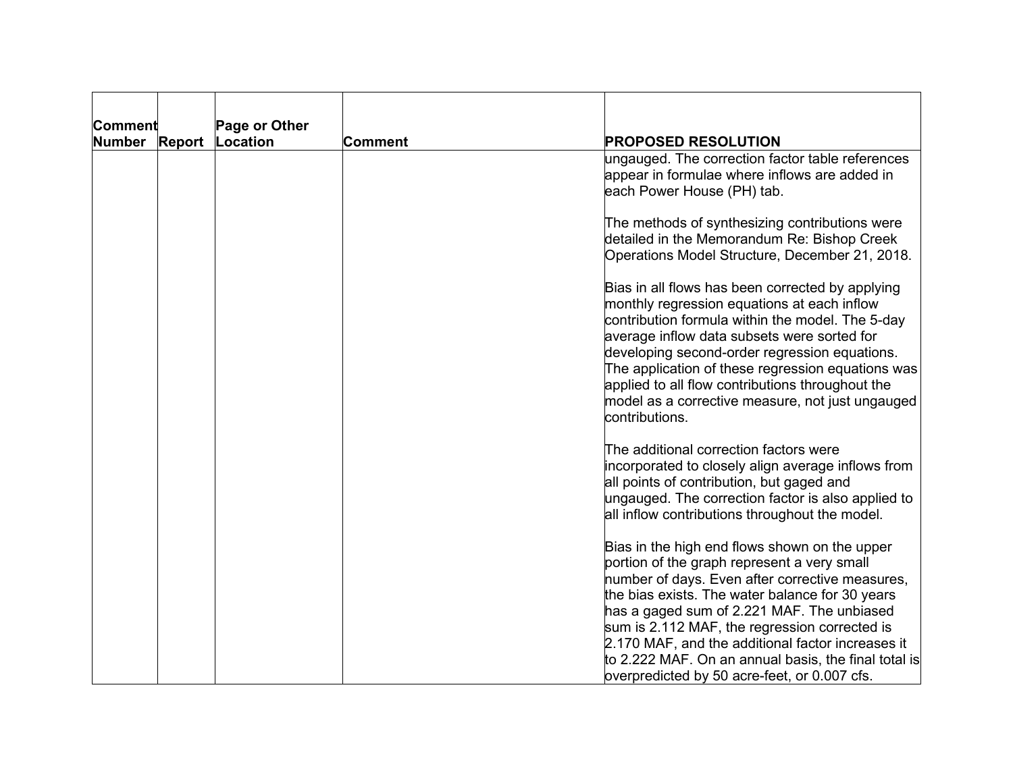| <b>Comment</b>                 | Page or Other |         |                                                                                                                                                                                                                                                                                                                                                                                                                                                                |
|--------------------------------|---------------|---------|----------------------------------------------------------------------------------------------------------------------------------------------------------------------------------------------------------------------------------------------------------------------------------------------------------------------------------------------------------------------------------------------------------------------------------------------------------------|
| <b>Report</b><br><b>Number</b> | Location      | Comment | <b>PROPOSED RESOLUTION</b>                                                                                                                                                                                                                                                                                                                                                                                                                                     |
|                                |               |         | ungauged. The correction factor table references<br>appear in formulae where inflows are added in<br>each Power House (PH) tab.                                                                                                                                                                                                                                                                                                                                |
|                                |               |         | The methods of synthesizing contributions were<br>detailed in the Memorandum Re: Bishop Creek<br>Operations Model Structure, December 21, 2018.                                                                                                                                                                                                                                                                                                                |
|                                |               |         | Bias in all flows has been corrected by applying<br>monthly regression equations at each inflow<br>contribution formula within the model. The 5-day<br>average inflow data subsets were sorted for<br>developing second-order regression equations.<br>The application of these regression equations was<br>applied to all flow contributions throughout the<br>model as a corrective measure, not just ungauged<br>contributions.                             |
|                                |               |         | The additional correction factors were<br>incorporated to closely align average inflows from<br>all points of contribution, but gaged and<br>ungauged. The correction factor is also applied to<br>all inflow contributions throughout the model.                                                                                                                                                                                                              |
|                                |               |         | Bias in the high end flows shown on the upper<br>portion of the graph represent a very small<br>number of days. Even after corrective measures,<br>the bias exists. The water balance for 30 years<br>has a gaged sum of 2.221 MAF. The unbiased<br>sum is 2.112 MAF, the regression corrected is<br>2.170 MAF, and the additional factor increases it<br>to 2.222 MAF. On an annual basis, the final total is<br>overpredicted by 50 acre-feet, or 0.007 cfs. |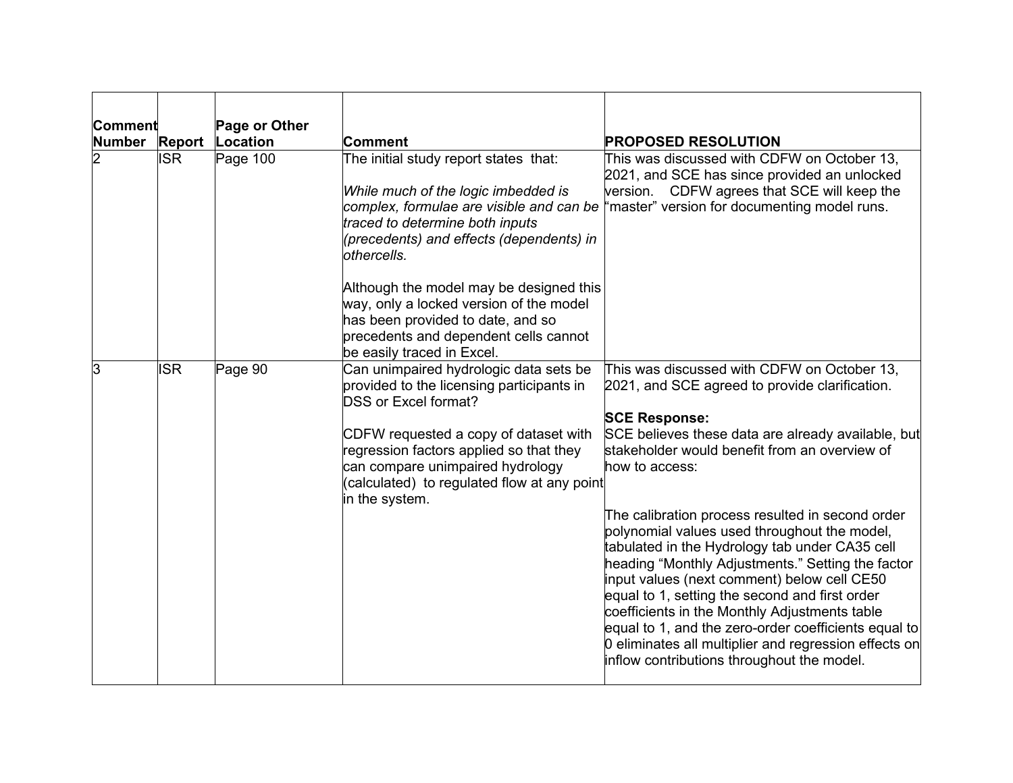| Comment       |               | Page or Other |                                                                                                                                                                                                                                                                                                             |                                                                                                                                                                                                                                                                                                                                                                                                                                                                                                                          |  |
|---------------|---------------|---------------|-------------------------------------------------------------------------------------------------------------------------------------------------------------------------------------------------------------------------------------------------------------------------------------------------------------|--------------------------------------------------------------------------------------------------------------------------------------------------------------------------------------------------------------------------------------------------------------------------------------------------------------------------------------------------------------------------------------------------------------------------------------------------------------------------------------------------------------------------|--|
| <b>Number</b> | <b>Report</b> | Location      | Comment                                                                                                                                                                                                                                                                                                     | <b>PROPOSED RESOLUTION</b>                                                                                                                                                                                                                                                                                                                                                                                                                                                                                               |  |
| 2             | <b>ISR</b>    | Page 100      | The initial study report states that:<br>While much of the logic imbedded is<br>traced to determine both inputs<br>(precedents) and effects (dependents) in<br>othercells.                                                                                                                                  | This was discussed with CDFW on October 13,<br>2021, and SCE has since provided an unlocked<br>version. CDFW agrees that SCE will keep the<br>complex, formulae are visible and can be "master" version for documenting model runs.                                                                                                                                                                                                                                                                                      |  |
|               |               |               | Although the model may be designed this<br>way, only a locked version of the model<br>has been provided to date, and so<br>precedents and dependent cells cannot<br>be easily traced in Excel.                                                                                                              |                                                                                                                                                                                                                                                                                                                                                                                                                                                                                                                          |  |
| З             | <b>ISR</b>    | Page 90       | Can unimpaired hydrologic data sets be<br>provided to the licensing participants in<br><b>DSS or Excel format?</b><br>CDFW requested a copy of dataset with<br>regression factors applied so that they<br>can compare unimpaired hydrology<br>(calculated) to regulated flow at any point<br>in the system. | This was discussed with CDFW on October 13,<br>2021, and SCE agreed to provide clarification.<br><b>SCE Response:</b><br>SCE believes these data are already available, but<br>stakeholder would benefit from an overview of<br>how to access:                                                                                                                                                                                                                                                                           |  |
|               |               |               |                                                                                                                                                                                                                                                                                                             | The calibration process resulted in second order<br>polynomial values used throughout the model,<br>tabulated in the Hydrology tab under CA35 cell<br>heading "Monthly Adjustments." Setting the factor<br>input values (next comment) below cell CE50<br>equal to 1, setting the second and first order<br>coefficients in the Monthly Adjustments table<br>equal to 1, and the zero-order coefficients equal to<br>0 eliminates all multiplier and regression effects on<br>inflow contributions throughout the model. |  |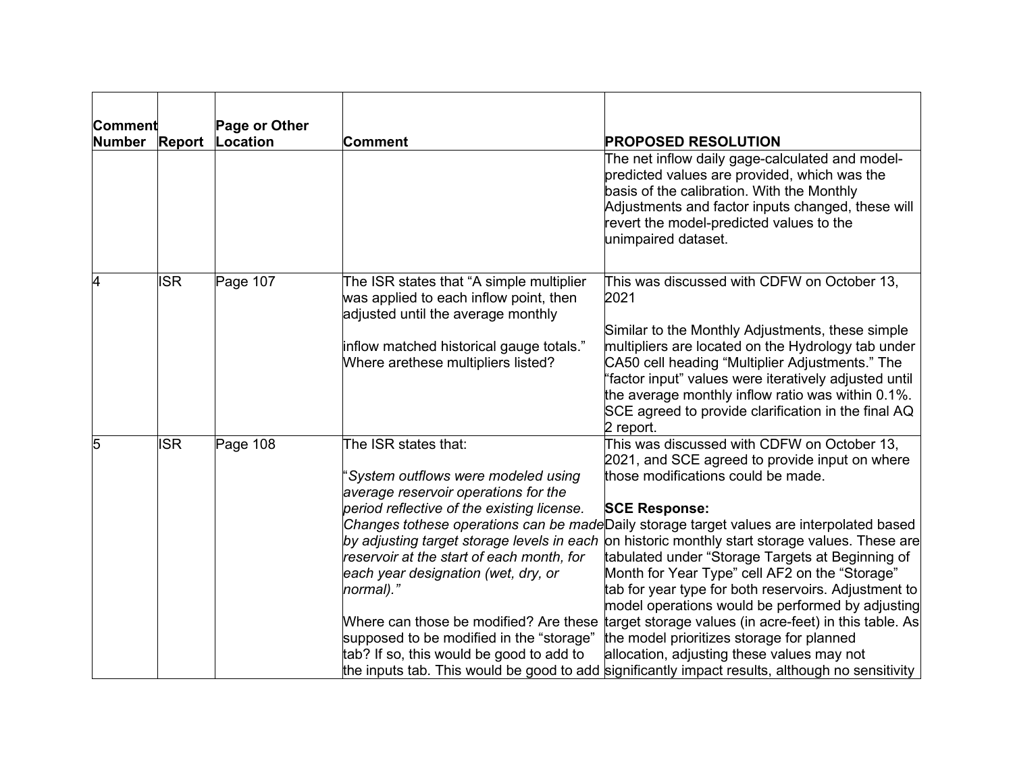| Comment       |               | Page or Other |                                                                                                                          |                                                                                                                                                                                                                                                                                         |
|---------------|---------------|---------------|--------------------------------------------------------------------------------------------------------------------------|-----------------------------------------------------------------------------------------------------------------------------------------------------------------------------------------------------------------------------------------------------------------------------------------|
| <b>Number</b> | <b>Report</b> | Location      | <b>Comment</b>                                                                                                           | <b>PROPOSED RESOLUTION</b>                                                                                                                                                                                                                                                              |
|               |               |               |                                                                                                                          | The net inflow daily gage-calculated and model-<br>predicted values are provided, which was the<br>basis of the calibration. With the Monthly<br>Adjustments and factor inputs changed, these will<br>revert the model-predicted values to the<br>unimpaired dataset.                   |
| 4             | <b>ISR</b>    | Page 107      | The ISR states that "A simple multiplier<br>was applied to each inflow point, then<br>adjusted until the average monthly | This was discussed with CDFW on October 13,<br>2021                                                                                                                                                                                                                                     |
|               |               |               |                                                                                                                          | Similar to the Monthly Adjustments, these simple                                                                                                                                                                                                                                        |
|               |               |               | inflow matched historical gauge totals."<br>Where arethese multipliers listed?                                           | multipliers are located on the Hydrology tab under<br>CA50 cell heading "Multiplier Adjustments." The<br>"factor input" values were iteratively adjusted until<br>the average monthly inflow ratio was within 0.1%.<br>SCE agreed to provide clarification in the final AQ<br>2 report. |
| 5             | <b>ISR</b>    | Page 108      | The ISR states that:                                                                                                     | This was discussed with CDFW on October 13,<br>2021, and SCE agreed to provide input on where                                                                                                                                                                                           |
|               |               |               | System outflows were modeled using<br>average reservoir operations for the                                               | those modifications could be made.                                                                                                                                                                                                                                                      |
|               |               |               | period reflective of the existing license.                                                                               | <b>SCE Response:</b>                                                                                                                                                                                                                                                                    |
|               |               |               |                                                                                                                          | Changes tothese operations can be madeDaily storage target values are interpolated based                                                                                                                                                                                                |
|               |               |               | by adjusting target storage levels in each                                                                               | on historic monthly start storage values. These are                                                                                                                                                                                                                                     |
|               |               |               | reservoir at the start of each month, for                                                                                | tabulated under "Storage Targets at Beginning of                                                                                                                                                                                                                                        |
|               |               |               | each year designation (wet, dry, or<br>normal)."                                                                         | Month for Year Type" cell AF2 on the "Storage"<br>tab for year type for both reservoirs. Adjustment to                                                                                                                                                                                  |
|               |               |               |                                                                                                                          | model operations would be performed by adjusting                                                                                                                                                                                                                                        |
|               |               |               | Where can those be modified? Are these                                                                                   | target storage values (in acre-feet) in this table. As                                                                                                                                                                                                                                  |
|               |               |               | supposed to be modified in the "storage"                                                                                 | the model prioritizes storage for planned                                                                                                                                                                                                                                               |
|               |               |               | tab? If so, this would be good to add to                                                                                 | allocation, adjusting these values may not                                                                                                                                                                                                                                              |
|               |               |               |                                                                                                                          | the inputs tab. This would be good to add significantly impact results, although no sensitivity                                                                                                                                                                                         |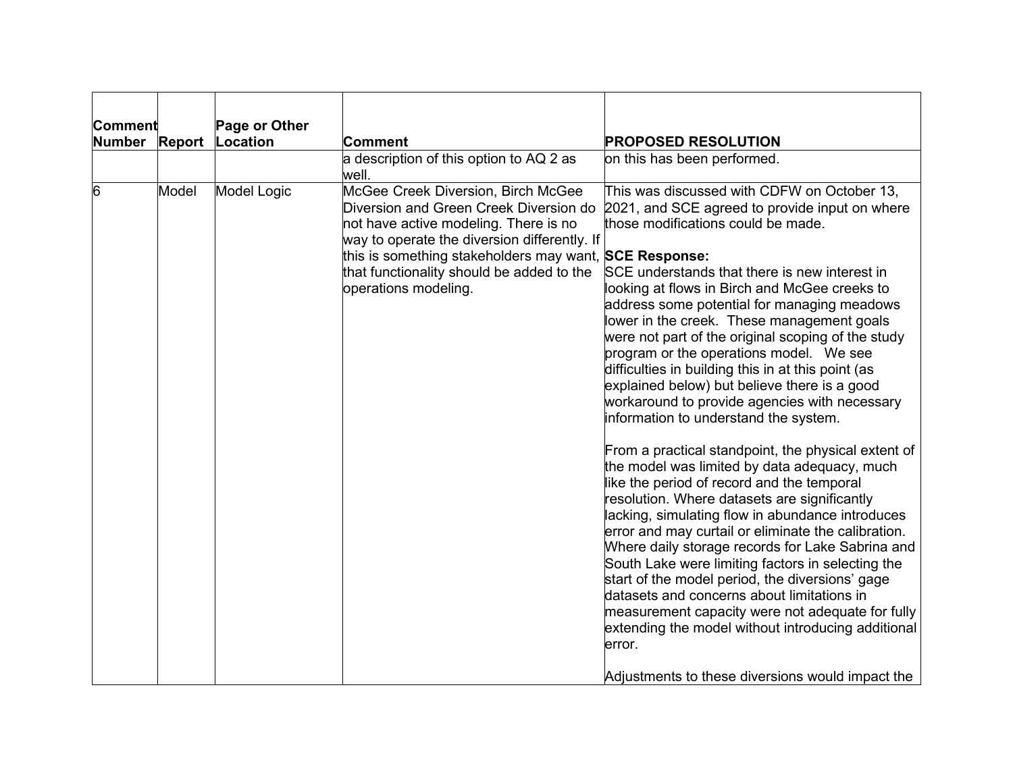| Comment       | Page or Other      |                                                                                                                                                                                                                                                                                                      |                                                                                                                                                                                                                                                                                                                                                                                                                                                                                                                                                                                                                                                                                                                                                                                                                                                                                                                                                                                                                                                                                                                                                                                                                                                                                                                                       |
|---------------|--------------------|------------------------------------------------------------------------------------------------------------------------------------------------------------------------------------------------------------------------------------------------------------------------------------------------------|---------------------------------------------------------------------------------------------------------------------------------------------------------------------------------------------------------------------------------------------------------------------------------------------------------------------------------------------------------------------------------------------------------------------------------------------------------------------------------------------------------------------------------------------------------------------------------------------------------------------------------------------------------------------------------------------------------------------------------------------------------------------------------------------------------------------------------------------------------------------------------------------------------------------------------------------------------------------------------------------------------------------------------------------------------------------------------------------------------------------------------------------------------------------------------------------------------------------------------------------------------------------------------------------------------------------------------------|
| Number Report | Location           | Comment                                                                                                                                                                                                                                                                                              | <b>PROPOSED RESOLUTION</b>                                                                                                                                                                                                                                                                                                                                                                                                                                                                                                                                                                                                                                                                                                                                                                                                                                                                                                                                                                                                                                                                                                                                                                                                                                                                                                            |
|               |                    | a description of this option to AQ 2 as<br>well.                                                                                                                                                                                                                                                     | on this has been performed.                                                                                                                                                                                                                                                                                                                                                                                                                                                                                                                                                                                                                                                                                                                                                                                                                                                                                                                                                                                                                                                                                                                                                                                                                                                                                                           |
| Model<br>6    | <b>Model Logic</b> | McGee Creek Diversion, Birch McGee<br>Diversion and Green Creek Diversion do<br>not have active modeling. There is no<br>way to operate the diversion differently. If<br>this is something stakeholders may want, SCE Response:<br>that functionality should be added to the<br>operations modeling. | This was discussed with CDFW on October 13,<br>2021, and SCE agreed to provide input on where<br>those modifications could be made.<br>SCE understands that there is new interest in<br>looking at flows in Birch and McGee creeks to<br>address some potential for managing meadows<br>lower in the creek. These management goals<br>were not part of the original scoping of the study<br>program or the operations model. We see<br>difficulties in building this in at this point (as<br>explained below) but believe there is a good<br>workaround to provide agencies with necessary<br>information to understand the system.<br>From a practical standpoint, the physical extent of<br>the model was limited by data adequacy, much<br>like the period of record and the temporal<br>resolution. Where datasets are significantly<br>lacking, simulating flow in abundance introduces<br>error and may curtail or eliminate the calibration.<br>Where daily storage records for Lake Sabrina and<br>South Lake were limiting factors in selecting the<br>start of the model period, the diversions' gage<br>datasets and concerns about limitations in<br>measurement capacity were not adequate for fully<br>extending the model without introducing additional<br>error.<br>Adjustments to these diversions would impact the |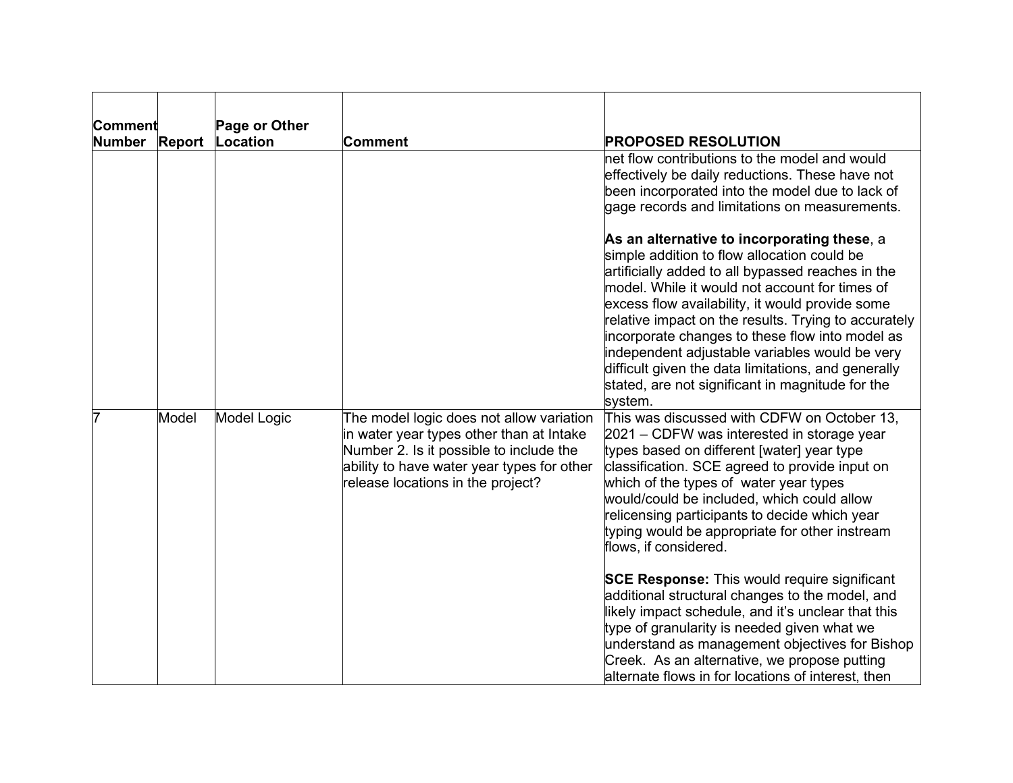| Comment       |               | Page or Other |                                                                                                                                                                                                                    |                                                                                                                                                                                                                                                                                                                                                                                                                                                                                                                                                                                                                                                                                                                                                                                      |
|---------------|---------------|---------------|--------------------------------------------------------------------------------------------------------------------------------------------------------------------------------------------------------------------|--------------------------------------------------------------------------------------------------------------------------------------------------------------------------------------------------------------------------------------------------------------------------------------------------------------------------------------------------------------------------------------------------------------------------------------------------------------------------------------------------------------------------------------------------------------------------------------------------------------------------------------------------------------------------------------------------------------------------------------------------------------------------------------|
| <b>Number</b> | <b>Report</b> | Location      | Comment                                                                                                                                                                                                            | <b>PROPOSED RESOLUTION</b>                                                                                                                                                                                                                                                                                                                                                                                                                                                                                                                                                                                                                                                                                                                                                           |
|               |               |               |                                                                                                                                                                                                                    | net flow contributions to the model and would<br>effectively be daily reductions. These have not<br>been incorporated into the model due to lack of<br>gage records and limitations on measurements.                                                                                                                                                                                                                                                                                                                                                                                                                                                                                                                                                                                 |
|               |               |               |                                                                                                                                                                                                                    | As an alternative to incorporating these, a<br>simple addition to flow allocation could be<br>artificially added to all bypassed reaches in the<br>model. While it would not account for times of<br>excess flow availability, it would provide some<br>relative impact on the results. Trying to accurately<br>incorporate changes to these flow into model as<br>independent adjustable variables would be very<br>difficult given the data limitations, and generally<br>stated, are not significant in magnitude for the<br>system.                                                                                                                                                                                                                                              |
|               | Model         | Model Logic   | The model logic does not allow variation<br>in water year types other than at Intake<br>Number 2. Is it possible to include the<br>ability to have water year types for other<br>release locations in the project? | This was discussed with CDFW on October 13,<br>2021 – CDFW was interested in storage year<br>types based on different [water] year type<br>classification. SCE agreed to provide input on<br>which of the types of water year types<br>would/could be included, which could allow<br>relicensing participants to decide which year<br>typing would be appropriate for other instream<br>flows, if considered.<br><b>SCE Response:</b> This would require significant<br>additional structural changes to the model, and<br>likely impact schedule, and it's unclear that this<br>type of granularity is needed given what we<br>understand as management objectives for Bishop<br>Creek. As an alternative, we propose putting<br>alternate flows in for locations of interest, then |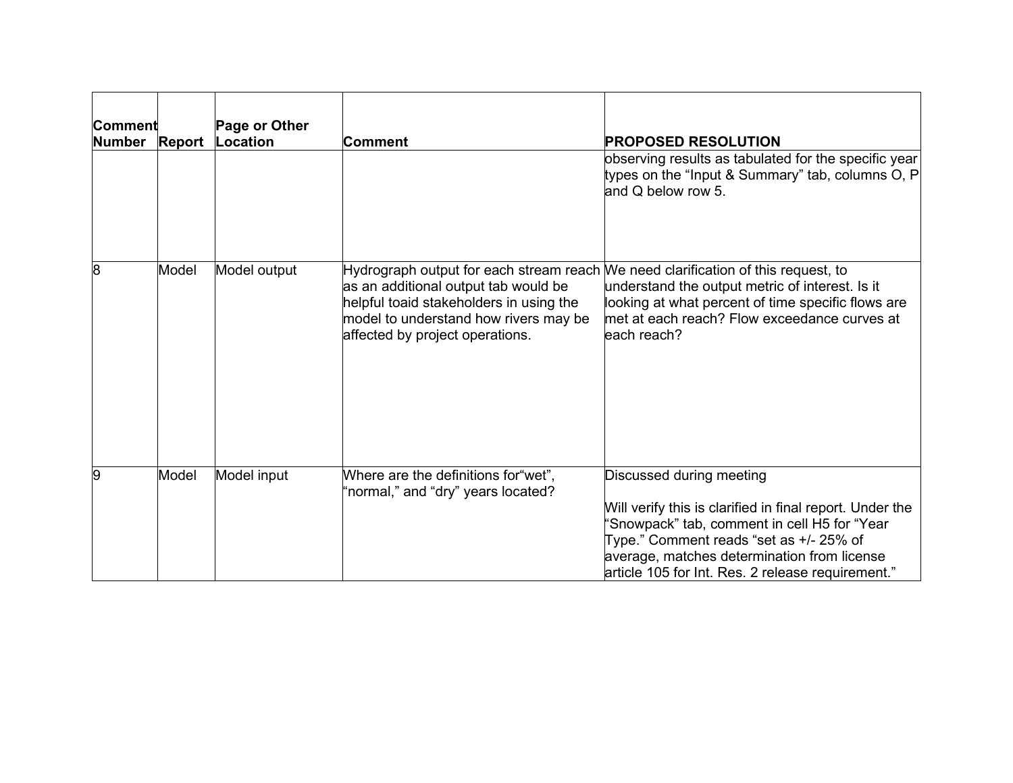| Comment<br>Number Report |       | Page or Other<br>Location | Comment                                                                                                                                                                                                                                          | <b>PROPOSED RESOLUTION</b>                                                                                                                                                                                                                                                          |
|--------------------------|-------|---------------------------|--------------------------------------------------------------------------------------------------------------------------------------------------------------------------------------------------------------------------------------------------|-------------------------------------------------------------------------------------------------------------------------------------------------------------------------------------------------------------------------------------------------------------------------------------|
|                          |       |                           |                                                                                                                                                                                                                                                  | observing results as tabulated for the specific year<br>types on the "Input & Summary" tab, columns O, P<br>and Q below row 5.                                                                                                                                                      |
| 8                        | Model | Model output              | Hydrograph output for each stream reach We need clarification of this request, to<br>as an additional output tab would be<br>helpful toaid stakeholders in using the<br>model to understand how rivers may be<br>affected by project operations. | understand the output metric of interest. Is it<br>looking at what percent of time specific flows are<br>met at each reach? Flow exceedance curves at<br>leach reach?                                                                                                               |
| 9                        | Model | Model input               | Where are the definitions for "wet",<br>'normal," and "dry" years located?                                                                                                                                                                       | Discussed during meeting<br>Will verify this is clarified in final report. Under the<br>'Snowpack" tab, comment in cell H5 for "Year<br>Type." Comment reads "set as +/- 25% of<br>average, matches determination from license<br>article 105 for Int. Res. 2 release requirement." |